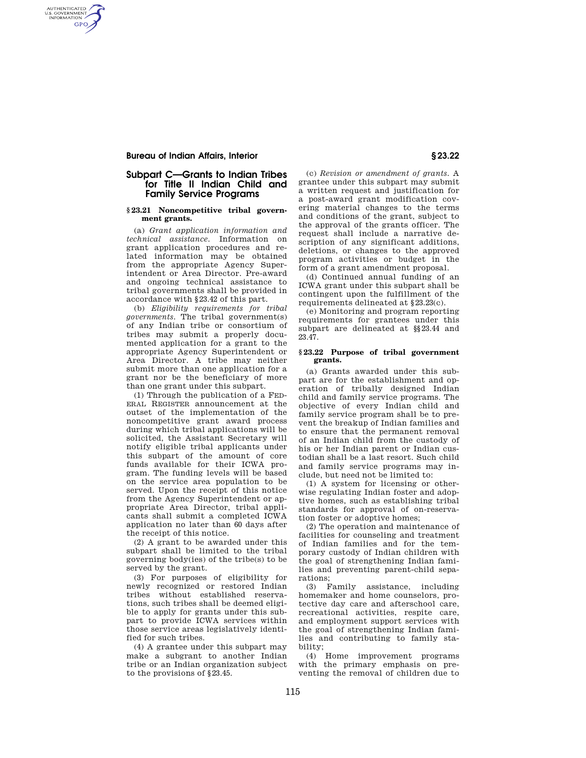## **Bureau of Indian Affairs, Interior § 23.22**

AUTHENTICATED<br>U.S. GOVERNMENT<br>INFORMATION **GPO** 

# **Subpart C—Grants to Indian Tribes for Title II Indian Child and Family Service Programs**

#### **§ 23.21 Noncompetitive tribal government grants.**

(a) *Grant application information and technical assistance.* Information on grant application procedures and related information may be obtained from the appropriate Agency Superintendent or Area Director. Pre-award and ongoing technical assistance to tribal governments shall be provided in accordance with §23.42 of this part.

(b) *Eligibility requirements for tribal governments.* The tribal government(s) of any Indian tribe or consortium of tribes may submit a properly documented application for a grant to the appropriate Agency Superintendent or Area Director. A tribe may neither submit more than one application for a grant nor be the beneficiary of more than one grant under this subpart.

(1) Through the publication of a FED-ERAL REGISTER announcement at the outset of the implementation of the noncompetitive grant award process during which tribal applications will be solicited, the Assistant Secretary will notify eligible tribal applicants under this subpart of the amount of core funds available for their ICWA program. The funding levels will be based on the service area population to be served. Upon the receipt of this notice from the Agency Superintendent or appropriate Area Director, tribal applicants shall submit a completed ICWA application no later than 60 days after the receipt of this notice.

(2) A grant to be awarded under this subpart shall be limited to the tribal governing body(ies) of the tribe(s) to be served by the grant.

(3) For purposes of eligibility for newly recognized or restored Indian tribes without established reservations, such tribes shall be deemed eligible to apply for grants under this subpart to provide ICWA services within those service areas legislatively identified for such tribes.

(4) A grantee under this subpart may make a subgrant to another Indian tribe or an Indian organization subject to the provisions of §23.45.

(c) *Revision or amendment of grants.* A grantee under this subpart may submit a written request and justification for a post-award grant modification covering material changes to the terms and conditions of the grant, subject to the approval of the grants officer. The request shall include a narrative description of any significant additions, deletions, or changes to the approved program activities or budget in the form of a grant amendment proposal.

(d) Continued annual funding of an ICWA grant under this subpart shall be contingent upon the fulfillment of the requirements delineated at §23.23(c).

(e) Monitoring and program reporting requirements for grantees under this subpart are delineated at §§23.44 and 23.47.

#### **§ 23.22 Purpose of tribal government grants.**

(a) Grants awarded under this subpart are for the establishment and operation of tribally designed Indian child and family service programs. The objective of every Indian child and family service program shall be to prevent the breakup of Indian families and to ensure that the permanent removal of an Indian child from the custody of his or her Indian parent or Indian custodian shall be a last resort. Such child and family service programs may include, but need not be limited to:

(1) A system for licensing or otherwise regulating Indian foster and adoptive homes, such as establishing tribal standards for approval of on-reservation foster or adoptive homes;

(2) The operation and maintenance of facilities for counseling and treatment of Indian families and for the temporary custody of Indian children with the goal of strengthening Indian families and preventing parent-child separations;

(3) Family assistance, including homemaker and home counselors, protective day care and afterschool care, recreational activities, respite care, and employment support services with the goal of strengthening Indian families and contributing to family stability;

(4) Home improvement programs with the primary emphasis on preventing the removal of children due to